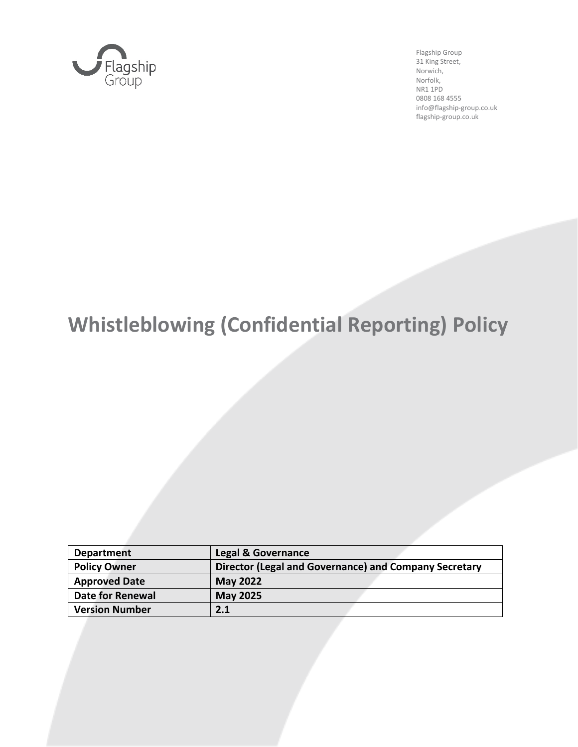

Flagship Group 31 King Street, Norwich, Norfolk, NR1 1PD 0808 168 4555 info@flagship-group.co.uk flagship-group.co.uk

# **Whistleblowing (Confidential Reporting) Policy**

| <b>Department</b>     | <b>Legal &amp; Governance</b>                         |
|-----------------------|-------------------------------------------------------|
| <b>Policy Owner</b>   | Director (Legal and Governance) and Company Secretary |
| <b>Approved Date</b>  | <b>May 2022</b>                                       |
| Date for Renewal      | <b>May 2025</b>                                       |
| <b>Version Number</b> | 2.1                                                   |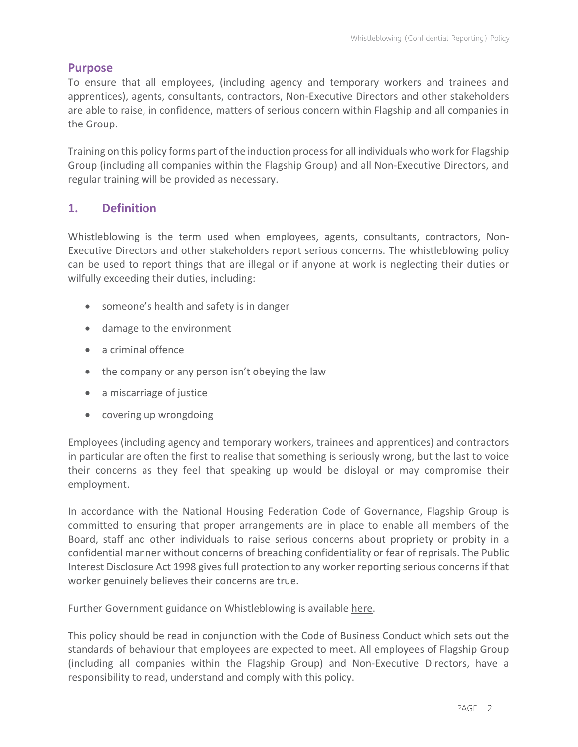#### **Purpose**

To ensure that all employees, (including agency and temporary workers and trainees and apprentices), agents, consultants, contractors, Non-Executive Directors and other stakeholders are able to raise, in confidence, matters of serious concern within Flagship and all companies in the Group.

Training on this policy forms part of the induction process for all individuals who work for Flagship Group (including all companies within the Flagship Group) and all Non-Executive Directors, and regular training will be provided as necessary.

## **1. Definition**

Whistleblowing is the term used when employees, agents, consultants, contractors, Non-Executive Directors and other stakeholders report serious concerns. The whistleblowing policy can be used to report things that are illegal or if anyone at work is neglecting their duties or wilfully exceeding their duties, including:

- someone's health and safety is in danger
- damage to the environment
- a criminal offence
- the company or any person isn't obeying the law
- a miscarriage of justice
- covering up wrongdoing

Employees (including agency and temporary workers, trainees and apprentices) and contractors in particular are often the first to realise that something is seriously wrong, but the last to voice their concerns as they feel that speaking up would be disloyal or may compromise their employment.

In accordance with the National Housing Federation Code of Governance, Flagship Group is committed to ensuring that proper arrangements are in place to enable all members of the Board, staff and other individuals to raise serious concerns about propriety or probity in a confidential manner without concerns of breaching confidentiality or fear of reprisals. The Public Interest Disclosure Act 1998 gives full protection to any worker reporting serious concerns if that worker genuinely believes their concerns are true.

Further Government guidance on Whistleblowing is available [here.](https://www.gov.uk/whistleblowing)

This policy should be read in conjunction with the Code of Business Conduct which sets out the standards of behaviour that employees are expected to meet. All employees of Flagship Group (including all companies within the Flagship Group) and Non-Executive Directors, have a responsibility to read, understand and comply with this policy.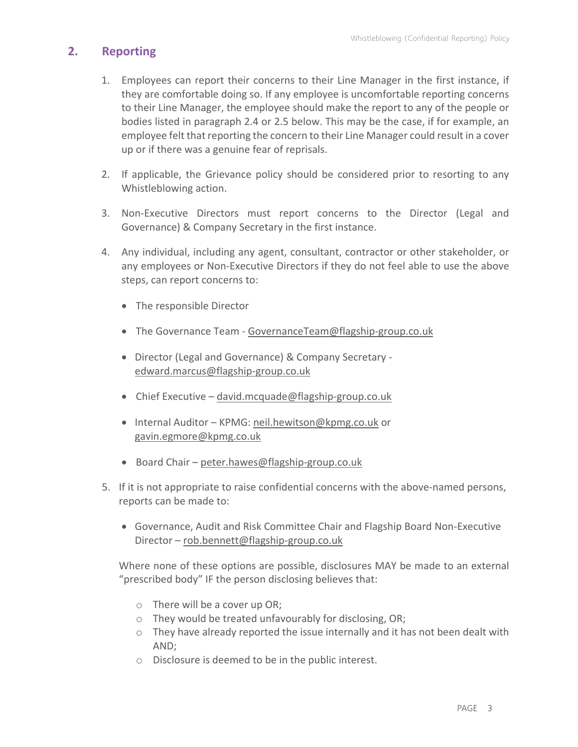# **2. Reporting**

- 1. Employees can report their concerns to their Line Manager in the first instance, if they are comfortable doing so. If any employee is uncomfortable reporting concerns to their Line Manager, the employee should make the report to any of the people or bodies listed in paragraph 2.4 or 2.5 below. This may be the case, if for example, an employee felt that reporting the concern to their Line Manager could result in a cover up or if there was a genuine fear of reprisals.
- 2. If applicable, the Grievance policy should be considered prior to resorting to any Whistleblowing action.
- 3. Non-Executive Directors must report concerns to the Director (Legal and Governance) & Company Secretary in the first instance.
- 4. Any individual, including any agent, consultant, contractor or other stakeholder, or any employees or Non-Executive Directors if they do not feel able to use the above steps, can report concerns to:
	- The responsible Director
	- The Governance Team [GovernanceTeam@flagship-group.co.uk](mailto:GovernanceTeam@flagship-group.co.uk)
	- Director (Legal and Governance) & Company Secretary [edward.marcus@flagship-group.co.uk](mailto:edward.marcus@flagship-group.co.uk)
	- Chief Executive [david.mcquade@flagship-group.co.uk](mailto:david.mcquade@flagship-group.co.uk)
	- Internal Auditor KPMG: [neil.hewitson@kpmg.co.uk](mailto:neil.hewitson@kpmg.co.uk) or [gavin.egmore@kpmg.co.uk](mailto:gavin.egmore@kpmg.co.uk)
	- Board Chair [peter.hawes@flagship-group.co.uk](mailto:peter.hawes@flagship-group.co.uk)
- 5. If it is not appropriate to raise confidential concerns with the above-named persons, reports can be made to:
	- Governance, Audit and Risk Committee Chair and Flagship Board Non-Executive Director – rob.bennett@flagship-group.co.uk

Where none of these options are possible, disclosures MAY be made to an external "prescribed body" IF the person disclosing believes that:

- o There will be a cover up OR;
- o They would be treated unfavourably for disclosing, OR;
- o They have already reported the issue internally and it has not been dealt with AND;
- o Disclosure is deemed to be in the public interest.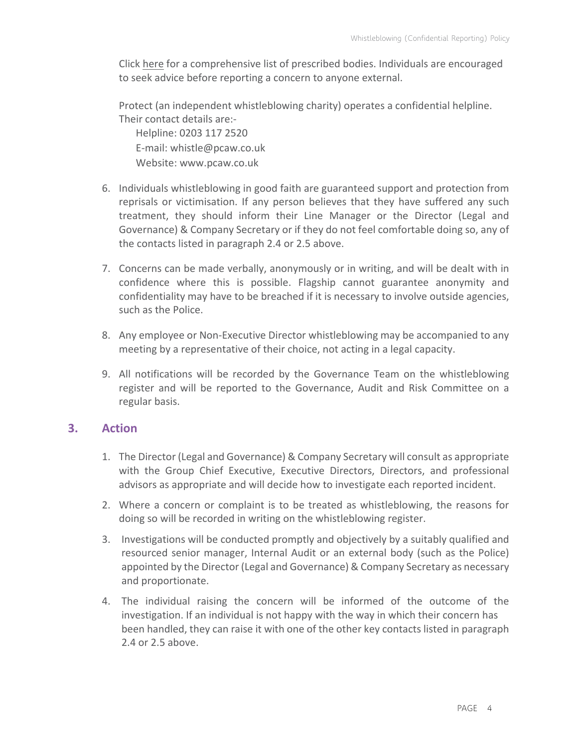Click [here](https://www.gov.uk/government/publications/blowing-the-whistle-list-of-prescribed-people-and-bodies--2) for a comprehensive list of prescribed bodies. Individuals are encouraged to seek advice before reporting a concern to anyone external.

Protect (an independent whistleblowing charity) operates a confidential helpline. Their contact details are:- Helpline: 0203 117 2520 E-mail: whistle@pcaw.co.uk Website: www.pcaw.co.uk

- 6. Individuals whistleblowing in good faith are guaranteed support and protection from
- reprisals or victimisation. If any person believes that they have suffered any such treatment, they should inform their Line Manager or the Director (Legal and Governance) & Company Secretary or if they do not feel comfortable doing so, any of the contacts listed in paragraph 2.4 or 2.5 above.
- 7. Concerns can be made verbally, anonymously or in writing, and will be dealt with in confidence where this is possible. Flagship cannot guarantee anonymity and confidentiality may have to be breached if it is necessary to involve outside agencies, such as the Police.
- 8. Any employee or Non-Executive Director whistleblowing may be accompanied to any meeting by a representative of their choice, not acting in a legal capacity.
- 9. All notifications will be recorded by the Governance Team on the whistleblowing register and will be reported to the Governance, Audit and Risk Committee on a regular basis.

### **3. Action**

- 1. The Director (Legal and Governance) & Company Secretary will consult as appropriate with the Group Chief Executive, Executive Directors, Directors, and professional advisors as appropriate and will decide how to investigate each reported incident.
- 2. Where a concern or complaint is to be treated as whistleblowing, the reasons for doing so will be recorded in writing on the whistleblowing register.
- 3. Investigations will be conducted promptly and objectively by a suitably qualified and resourced senior manager, Internal Audit or an external body (such as the Police) appointed by the Director (Legal and Governance) & Company Secretary as necessary and proportionate.
- 4. The individual raising the concern will be informed of the outcome of the investigation. If an individual is not happy with the way in which their concern has been handled, they can raise it with one of the other key contacts listed in paragraph 2.4 or 2.5 above.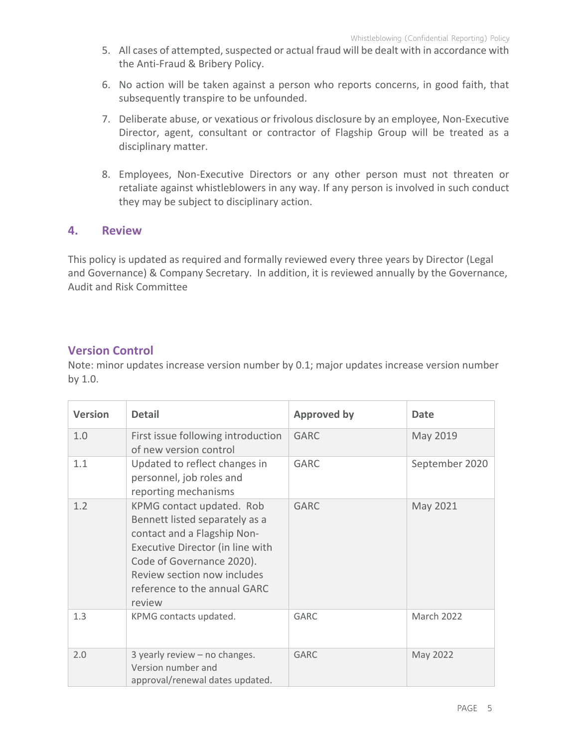- 5. All cases of attempted, suspected or actual fraud will be dealt with in accordance with the Anti-Fraud & Bribery Policy.
- 6. No action will be taken against a person who reports concerns, in good faith, that subsequently transpire to be unfounded.
- 7. Deliberate abuse, or vexatious or frivolous disclosure by an employee, Non-Executive Director, agent, consultant or contractor of Flagship Group will be treated as a disciplinary matter.
- 8. Employees, Non-Executive Directors or any other person must not threaten or retaliate against whistleblowers in any way. If any person is involved in such conduct they may be subject to disciplinary action.

#### **4. Review**

This policy is updated as required and formally reviewed every three years by Director (Legal and Governance) & Company Secretary. In addition, it is reviewed annually by the Governance, Audit and Risk Committee

# **Version Control**

Note: minor updates increase version number by 0.1; major updates increase version number by 1.0.

| <b>Version</b> | <b>Detail</b>                                                                                                                                                                                                                        | <b>Approved by</b> | <b>Date</b>    |
|----------------|--------------------------------------------------------------------------------------------------------------------------------------------------------------------------------------------------------------------------------------|--------------------|----------------|
| 1.0            | First issue following introduction<br>of new version control                                                                                                                                                                         | <b>GARC</b>        | May 2019       |
| 1.1            | Updated to reflect changes in<br>personnel, job roles and<br>reporting mechanisms                                                                                                                                                    | <b>GARC</b>        | September 2020 |
| 1.2            | KPMG contact updated. Rob<br>Bennett listed separately as a<br>contact and a Flagship Non-<br>Executive Director (in line with<br>Code of Governance 2020).<br>Review section now includes<br>reference to the annual GARC<br>review | <b>GARC</b>        | May 2021       |
| 1.3            | KPMG contacts updated.                                                                                                                                                                                                               | <b>GARC</b>        | March 2022     |
| 2.0            | 3 yearly review - no changes.<br>Version number and<br>approval/renewal dates updated.                                                                                                                                               | <b>GARC</b>        | May 2022       |